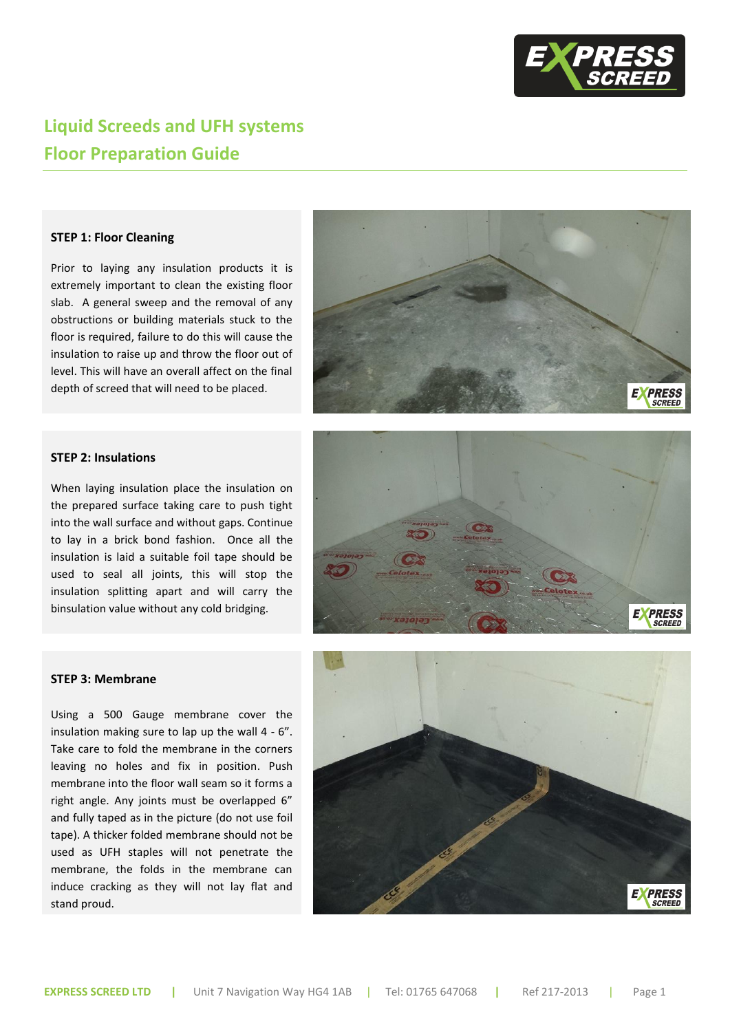

# **Liquid Screeds and UFH systems Floor Preparation Guide**

# **STEP 1: Floor Cleaning**

Prior to laying any insulation products it is extremely important to clean the existing floor slab. A general sweep and the removal of any obstructions or building materials stuck to the floor is required, failure to do this will cause the insulation to raise up and throw the floor out of level. This will have an overall affect on the final depth of screed that will need to be placed.



# **STEP 2: Insulations**

When laying insulation place the insulation on the prepared surface taking care to push tight into the wall surface and without gaps. Continue to lay in a brick bond fashion. Once all the insulation is laid a suitable foil tape should be used to seal all joints, this will stop the insulation splitting apart and will carry the binsulation value without any cold bridging.



### **STEP 3: Membrane**

Using a 500 Gauge membrane cover the insulation making sure to lap up the wall 4 - 6". Take care to fold the membrane in the corners leaving no holes and fix in position. Push membrane into the floor wall seam so it forms a right angle. Any joints must be overlapped 6" and fully taped as in the picture (do not use foil tape). A thicker folded membrane should not be used as UFH staples will not penetrate the membrane, the folds in the membrane can induce cracking as they will not lay flat and stand proud.